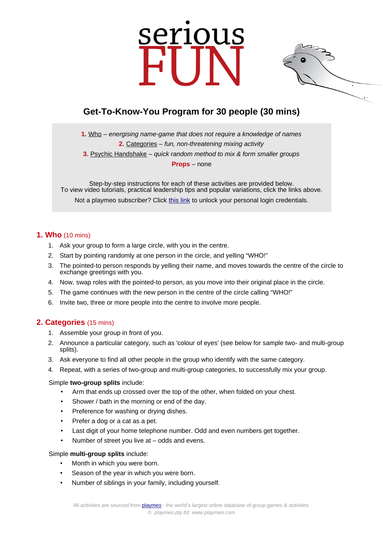# serious



# **Get-To-Know-You Program for 30 people (30 mins)**

**1.** [Who](https://www.playmeo.com/activities/ice-breaker-get-to-know-you-games/who/) – energising name-game that does not require a knowledge of names **2.** [Categories](https://www.playmeo.com/activities/ice-breaker-get-to-know-you-games/categories/) – fun, non-threatening mixing activity

**3.** [Psychic Handshake](https://www.playmeo.com/activities/ice-breaker-get-to-know-you-games/psychic-handshake/) – quick random method to mix & form smaller groups

**Props** – none

Step-by-step instructions for each of these activities are provided below. To view video tutorials, practical leadership tips and popular variations, click the links above.

Not a playmeo subscriber? Click [this link](http://www.playmeo.com/serious-fun-offer) to unlock your personal login credentials.

## **1. Who** (10 mins)

- 1. Ask your group to form a large circle, with you in the centre.
- 2. Start by pointing randomly at one person in the circle, and yelling "WHO!"
- 3. The pointed-to person responds by yelling their name, and moves towards the centre of the circle to exchange greetings with you.
- 4. Now, swap roles with the pointed-to person, as you move into their original place in the circle.
- 5. The game continues with the new person in the centre of the circle calling "WHO!"
- 6. Invite two, three or more people into the centre to involve more people.

# **2. Categories** (15 mins)

- 1. Assemble your group in front of you.
- 2. Announce a particular category, such as 'colour of eyes' (see below for sample two- and multi-group splits).
- 3. Ask everyone to find all other people in the group who identify with the same category.
- 4. Repeat, with a series of two-group and multi-group categories, to successfully mix your group.

#### Simple **two-group splits** include:

- Arm that ends up crossed over the top of the other, when folded on your chest.
- Shower / bath in the morning or end of the day.
- Preference for washing or drying dishes.
- Prefer a dog or a cat as a pet.
- Last digit of your home telephone number. Odd and even numbers get together.
- Number of street you live at odds and evens.

### Simple **multi-group splits** include:

- Month in which you were born.
- Season of the year in which you were born.
- Number of siblings in your family, including yourself.